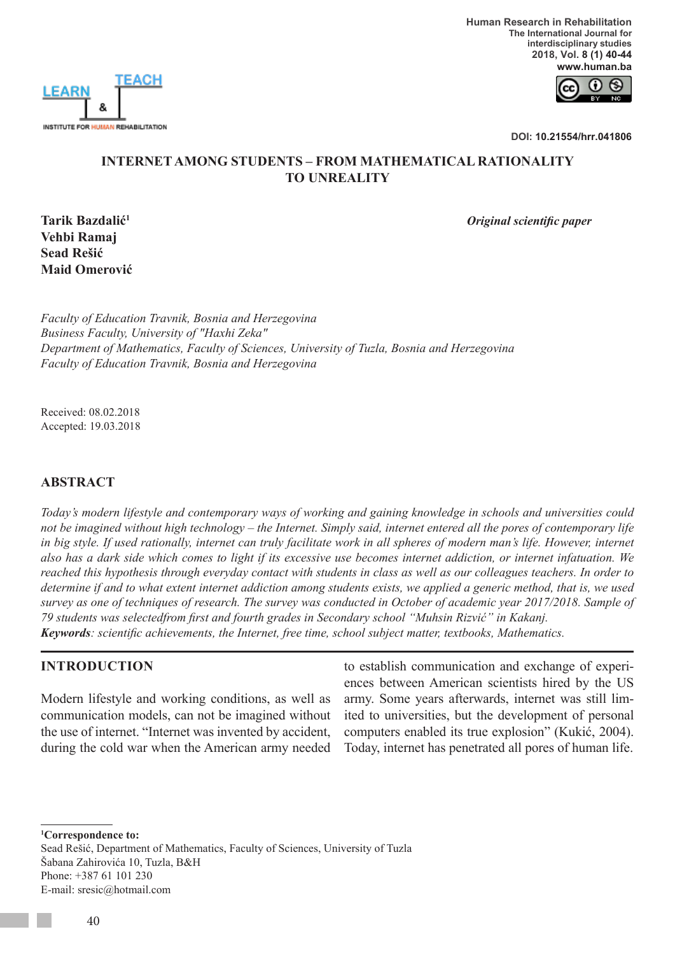

 **Human Research in Rehabilitation The International Journal for interdisciplinary studies 2018, Vol. 8 (1) 40-44 www.human.ba**



**DOI: 10.21554/hrr.041806**

#### **INTERNET AMONG STUDENTS – FROM MATHEMATICAL RATIONALITY TO UNREALITY**

*Original scientific paper*

**Tarik Bazdalić<sup>1</sup> Vehbi Ramaj Sead Rešić Maid Omerović**

*Faculty of Education Travnik, Bosnia and Herzegovina Business Faculty, University of "Haxhi Zeka" Department of Mathematics, Faculty of Sciences, University of Tuzla, Bosnia and Herzegovina Faculty of Education Travnik, Bosnia and Herzegovina*

Received: 08.02.2018 Accepted: 19.03.2018

## **ABSTRACT**

*Today's modern lifestyle and contemporary ways of working and gaining knowledge in schools and universities could not be imagined without high technology – the Internet. Simply said, internet entered all the pores of contemporary life*  in big style. If used rationally, internet can truly facilitate work in all spheres of modern man's life. However, internet *also has a dark side which comes to light if its excessive use becomes internet addiction, or internet infatuation. We reached this hypothesis through everyday contact with students in class as well as our colleagues teachers. In order to determine if and to what extent internet addiction among students exists, we applied a generic method, that is, we used survey as one of techniques of research. The survey was conducted in October of academic year 2017/2018. Sample of 79 students was selectedfrom first and fourth grades in Secondary school "Muhsin Rizvić" in Kakanj. Keywords: scientific achievements, the Internet, free time, school subject matter, textbooks, Mathematics.*

## **INTRODUCTION**

Modern lifestyle and working conditions, as well as communication models, can not be imagined without the use of internet. "Internet was invented by accident, during the cold war when the American army needed to establish communication and exchange of experiences between American scientists hired by the US army. Some years afterwards, internet was still limited to universities, but the development of personal computers enabled its true explosion" (Kukić, 2004). Today, internet has penetrated all pores of human life.

**1 Correspondence to:**

Sead Rešić, Department of Mathematics, Faculty of Sciences, University of Tuzla Šabana Zahirovića 10, Tuzla, B&H Phone: +387 61 101 230 E-mail: sresic@hotmail.com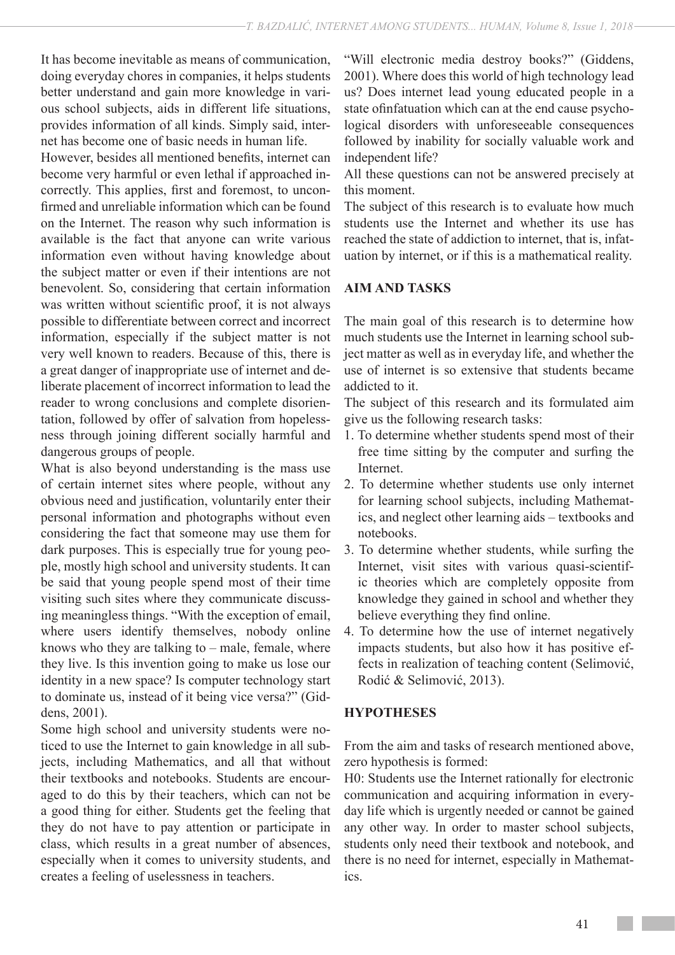It has become inevitable as means of communication, doing everyday chores in companies, it helps students better understand and gain more knowledge in various school subjects, aids in different life situations, provides information of all kinds. Simply said, internet has become one of basic needs in human life.

However, besides all mentioned benefits, internet can become very harmful or even lethal if approached incorrectly. This applies, first and foremost, to unconfirmed and unreliable information which can be found on the Internet. The reason why such information is available is the fact that anyone can write various information even without having knowledge about the subject matter or even if their intentions are not benevolent. So, considering that certain information was written without scientific proof, it is not always possible to differentiate between correct and incorrect information, especially if the subject matter is not very well known to readers. Because of this, there is a great danger of inappropriate use of internet and deliberate placement of incorrect information to lead the reader to wrong conclusions and complete disorientation, followed by offer of salvation from hopelessness through joining different socially harmful and dangerous groups of people.

What is also beyond understanding is the mass use of certain internet sites where people, without any obvious need and justification, voluntarily enter their personal information and photographs without even considering the fact that someone may use them for dark purposes. This is especially true for young people, mostly high school and university students. It can be said that young people spend most of their time visiting such sites where they communicate discussing meaningless things. "With the exception of email, where users identify themselves, nobody online knows who they are talking to  $-$  male, female, where they live. Is this invention going to make us lose our identity in a new space? Is computer technology start to dominate us, instead of it being vice versa?" (Giddens, 2001).

Some high school and university students were noticed to use the Internet to gain knowledge in all subjects, including Mathematics, and all that without their textbooks and notebooks. Students are encouraged to do this by their teachers, which can not be a good thing for either. Students get the feeling that they do not have to pay attention or participate in class, which results in a great number of absences, especially when it comes to university students, and creates a feeling of uselessness in teachers.

"Will electronic media destroy books?" (Giddens, 2001). Where does this world of high technology lead us? Does internet lead young educated people in a state ofinfatuation which can at the end cause psychological disorders with unforeseeable consequences followed by inability for socially valuable work and independent life?

All these questions can not be answered precisely at this moment.

The subject of this research is to evaluate how much students use the Internet and whether its use has reached the state of addiction to internet, that is, infatuation by internet, or if this is a mathematical reality.

## **AIM AND TASKS**

The main goal of this research is to determine how much students use the Internet in learning school subject matter as well as in everyday life, and whether the use of internet is so extensive that students became addicted to it.

The subject of this research and its formulated aim give us the following research tasks:

- 1. To determine whether students spend most of their free time sitting by the computer and surfing the Internet.
- 2. To determine whether students use only internet for learning school subjects, including Mathematics, and neglect other learning aids – textbooks and notebooks.
- 3. To determine whether students, while surfing the Internet, visit sites with various quasi-scientific theories which are completely opposite from knowledge they gained in school and whether they believe everything they find online.
- 4. To determine how the use of internet negatively impacts students, but also how it has positive effects in realization of teaching content (Selimović, Rodić & Selimović, 2013).

## **HYPOTHESES**

From the aim and tasks of research mentioned above, zero hypothesis is formed:

H0: Students use the Internet rationally for electronic communication and acquiring information in everyday life which is urgently needed or cannot be gained any other way. In order to master school subjects, students only need their textbook and notebook, and there is no need for internet, especially in Mathematics.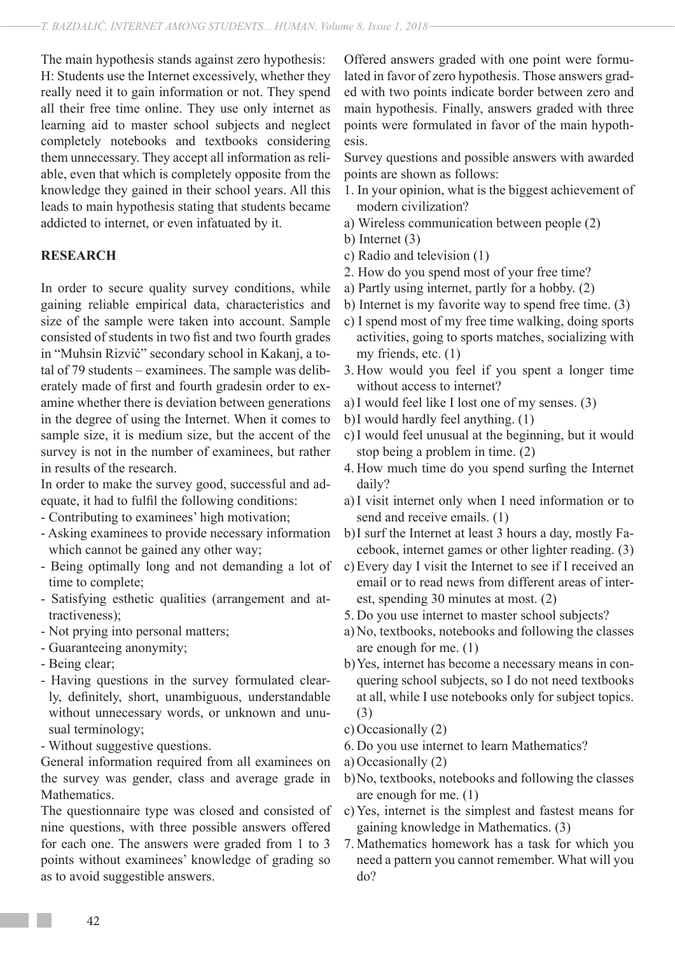The main hypothesis stands against zero hypothesis: H: Students use the Internet excessively, whether they really need it to gain information or not. They spend all their free time online. They use only internet as learning aid to master school subjects and neglect completely notebooks and textbooks considering them unnecessary. They accept all information as reliable, even that which is completely opposite from the knowledge they gained in their school years. All this leads to main hypothesis stating that students became addicted to internet, or even infatuated by it.

#### **RESEARCH**

In order to secure quality survey conditions, while gaining reliable empirical data, characteristics and size of the sample were taken into account. Sample consisted of students in two fist and two fourth grades in "Muhsin Rizvić" secondary school in Kakanj, a total of 79 students – examinees. The sample was deliberately made of first and fourth gradesin order to examine whether there is deviation between generations in the degree of using the Internet. When it comes to sample size, it is medium size, but the accent of the survey is not in the number of examinees, but rather in results of the research.

In order to make the survey good, successful and adequate, it had to fulfil the following conditions:

- Contributing to examinees' high motivation;
- Asking examinees to provide necessary information which cannot be gained any other way;
- Being optimally long and not demanding a lot of time to complete;
- Satisfying esthetic qualities (arrangement and attractiveness);
- Not prying into personal matters;
- Guaranteeing anonymity;
- Being clear;
- Having questions in the survey formulated clearly, definitely, short, unambiguous, understandable without unnecessary words, or unknown and unusual terminology;
- Without suggestive questions.

General information required from all examinees on the survey was gender, class and average grade in Mathematics.

The questionnaire type was closed and consisted of nine questions, with three possible answers offered for each one. The answers were graded from 1 to 3 points without examinees' knowledge of grading so as to avoid suggestible answers.

Offered answers graded with one point were formulated in favor of zero hypothesis. Those answers graded with two points indicate border between zero and main hypothesis. Finally, answers graded with three points were formulated in favor of the main hypothesis.

Survey questions and possible answers with awarded points are shown as follows:

- 1. In your opinion, what is the biggest achievement of modern civilization?
- a) Wireless communication between people (2)

b) Internet (3)

- c) Radio and television (1)
- 2. How do you spend most of your free time?
- a) Partly using internet, partly for a hobby. (2)
- b) Internet is my favorite way to spend free time. (3)
- c) I spend most of my free time walking, doing sports activities, going to sports matches, socializing with my friends, etc. (1)
- 3. How would you feel if you spent a longer time without access to internet?
- a)I would feel like I lost one of my senses. (3)
- b)I would hardly feel anything. (1)
- c)I would feel unusual at the beginning, but it would stop being a problem in time. (2)
- 4. How much time do you spend surfing the Internet daily?
- a)I visit internet only when I need information or to send and receive emails. (1)
- b)I surf the Internet at least 3 hours a day, mostly Facebook, internet games or other lighter reading. (3)
- c)Every day I visit the Internet to see if I received an email or to read news from different areas of interest, spending 30 minutes at most. (2)
- 5. Do you use internet to master school subjects?
- a)No, textbooks, notebooks and following the classes are enough for me. (1)
- b)Yes, internet has become a necessary means in conquering school subjects, so I do not need textbooks at all, while I use notebooks only for subject topics. (3)
- c) Occasionally (2)
- 6. Do you use internet to learn Mathematics?
- a)Occasionally (2)
- b)No, textbooks, notebooks and following the classes are enough for me. (1)
- c)Yes, internet is the simplest and fastest means for gaining knowledge in Mathematics. (3)
- 7. Mathematics homework has a task for which you need a pattern you cannot remember. What will you do?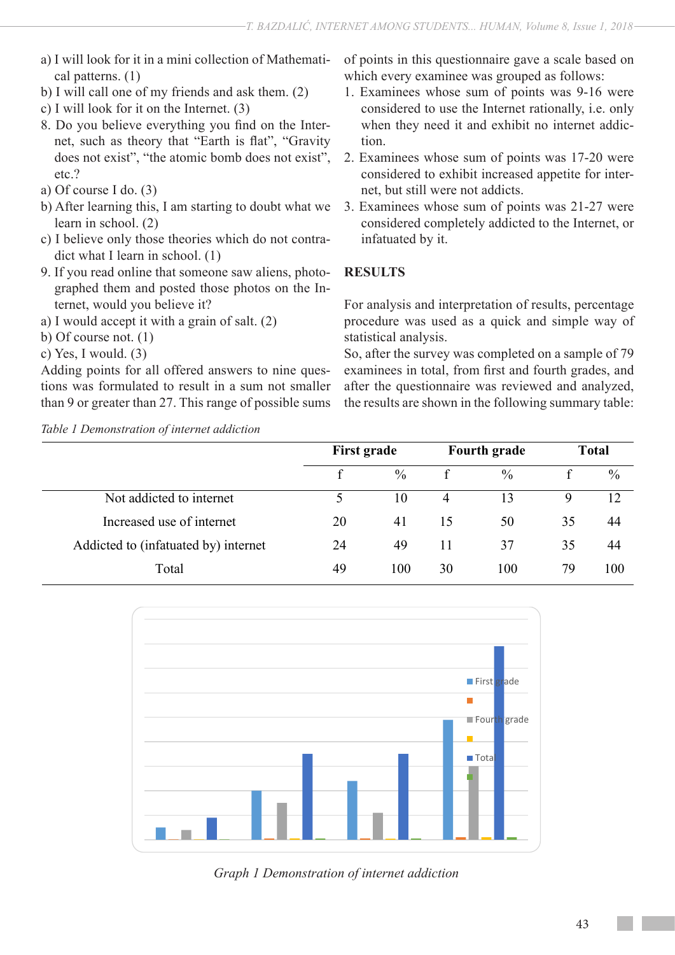- a) I will look for it in a mini collection of Mathematical patterns. (1)
- b) I will call one of my friends and ask them. (2)
- c) I will look for it on the Internet. (3)
- 8. Do you believe everything you find on the Internet, such as theory that "Earth is flat", "Gravity does not exist", "the atomic bomb does not exist", etc.?
- a) Of course I do. (3)
- b) After learning this, I am starting to doubt what we learn in school. (2)
- c) I believe only those theories which do not contradict what I learn in school. (1)
- 9. If you read online that someone saw aliens, photographed them and posted those photos on the Internet, would you believe it?
- a) I would accept it with a grain of salt. (2)
- b) Of course not. (1)
- c) Yes, I would. (3)

Adding points for all offered answers to nine questions was formulated to result in a sum not smaller than 9 or greater than 27. This range of possible sums

*Table 1 Demonstration of internet addiction*

of points in this questionnaire gave a scale based on which every examinee was grouped as follows:

- 1. Examinees whose sum of points was 9-16 were considered to use the Internet rationally, i.e. only when they need it and exhibit no internet addiction.
- 2. Examinees whose sum of points was 17-20 were considered to exhibit increased appetite for internet, but still were not addicts.
- 3. Examinees whose sum of points was 21-27 were considered completely addicted to the Internet, or infatuated by it.

# **RESULTS**

For analysis and interpretation of results, percentage procedure was used as a quick and simple way of statistical analysis.

So, after the survey was completed on a sample of 79 examinees in total, from first and fourth grades, and after the questionnaire was reviewed and analyzed, the results are shown in the following summary table:

|                                      | <b>First grade</b> |      | <b>Fourth grade</b> |      | <b>Total</b> |      |
|--------------------------------------|--------------------|------|---------------------|------|--------------|------|
|                                      |                    | $\%$ |                     | $\%$ |              | $\%$ |
| Not addicted to internet             |                    | 10   | $\overline{4}$      | 13   | 9            | 12   |
| Increased use of internet            | 20                 | 41   | 15                  | 50   | 35           | 44   |
| Addicted to (infatuated by) internet | 24                 | 49   | 11                  | 37   | 35           | 44   |
| Total                                | 49                 | 100  | 30                  | 100  | 79           | 100  |



*Graph 1 Demonstration of internet addiction*